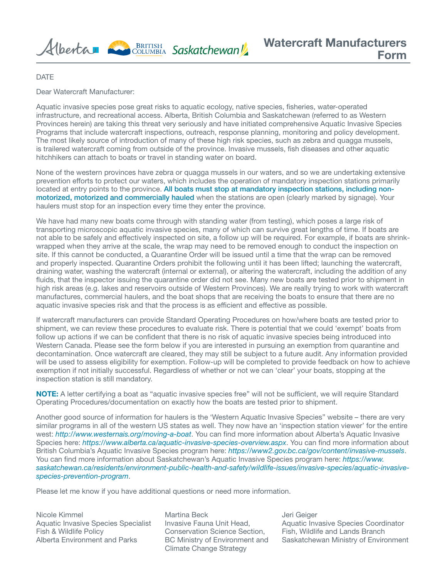

DATE

Dear Watercraft Manufacturer:

Aquatic invasive species pose great risks to aquatic ecology, native species, fisheries, water-operated infrastructure, and recreational access. Alberta, British Columbia and Saskatchewan (referred to as Western Provinces herein) are taking this threat very seriously and have initiated comprehensive Aquatic Invasive Species Programs that include watercraft inspections, outreach, response planning, monitoring and policy development. The most likely source of introduction of many of these high risk species, such as zebra and quagga mussels, is trailered watercraft coming from outside of the province. Invasive mussels, fish diseases and other aquatic hitchhikers can attach to boats or travel in standing water on board.

None of the western provinces have zebra or quagga mussels in our waters, and so we are undertaking extensive prevention efforts to protect our waters, which includes the operation of mandatory inspection stations primarily located at entry points to the province. All boats must stop at mandatory inspection stations, including nonmotorized, motorized and commercially hauled when the stations are open (clearly marked by signage). Your haulers must stop for an inspection every time they enter the province.

We have had many new boats come through with standing water (from testing), which poses a large risk of transporting microscopic aquatic invasive species, many of which can survive great lengths of time. If boats are not able to be safely and effectively inspected on site, a follow up will be required. For example, if boats are shrinkwrapped when they arrive at the scale, the wrap may need to be removed enough to conduct the inspection on site. If this cannot be conducted, a Quarantine Order will be issued until a time that the wrap can be removed and properly inspected. Quarantine Orders prohibit the following until it has been lifted; launching the watercraft, draining water, washing the watercraft (internal or external), or altering the watercraft, including the addition of any fluids, that the inspector issuing the quarantine order did not see. Many new boats are tested prior to shipment in high risk areas (e.g. lakes and reservoirs outside of Western Provinces). We are really trying to work with watercraft manufactures, commercial haulers, and the boat shops that are receiving the boats to ensure that there are no aquatic invasive species risk and that the process is as efficient and effective as possible.

If watercraft manufacturers can provide Standard Operating Procedures on how/where boats are tested prior to shipment, we can review these procedures to evaluate risk. There is potential that we could 'exempt' boats from follow up actions if we can be confident that there is no risk of aquatic invasive species being introduced into Western Canada. Please see the form below if you are interested in pursuing an exemption from quarantine and decontamination. Once watercraft are cleared, they may still be subject to a future audit. Any information provided will be used to assess eligibility for exemption. Follow-up will be completed to provide feedback on how to achieve exemption if not initially successful. Regardless of whether or not we can 'clear' your boats, stopping at the inspection station is still mandatory.

NOTE: A letter certifying a boat as "aquatic invasive species free" will not be sufficient, we will require Standard Operating Procedures/documentation on exactly how the boats are tested prior to shipment.

Another good source of information for haulers is the 'Western Aquatic Invasive Species" website – there are very similar programs in all of the western US states as well. They now have an 'inspection station viewer' for the entire west: *<http://www.westernais.org/moving-a-boat>*. You can find more information about Alberta's Aquatic Invasive Species here: *<https://www.alberta.ca/aquatic-invasive-species-overview.aspx>*. You can find more information about British Columbia's Aquatic Invasive Species program here: *<https://www2.gov.bc.ca/gov/content/invasive-mussels>*. You can find more information about Saskatchewan's Aquatic Invasive Species program here: *[https://www.](https://www.saskatchewan.ca/residents/environment-public-health-and-safety/wildlife-issues/invasive-species/aquatic-invasive-species-prevention-program) [saskatchewan.ca/residents/environment-public-health-and-safety/wildlife-issues/invasive-species/aquatic-invasive](https://www.saskatchewan.ca/residents/environment-public-health-and-safety/wildlife-issues/invasive-species/aquatic-invasive-species-prevention-program)[species-prevention-program](https://www.saskatchewan.ca/residents/environment-public-health-and-safety/wildlife-issues/invasive-species/aquatic-invasive-species-prevention-program)*.

Please let me know if you have additional questions or need more information.

Nicole Kimmel Aquatic Invasive Species Specialist Fish & Wildlife Policy Alberta Environment and Parks

Martina Beck Invasive Fauna Unit Head, Conservation Science Section, BC Ministry of Environment and Climate Change Strategy

Jeri Geiger Aquatic Invasive Species Coordinator Fish, Wildlife and Lands Branch Saskatchewan Ministry of Environment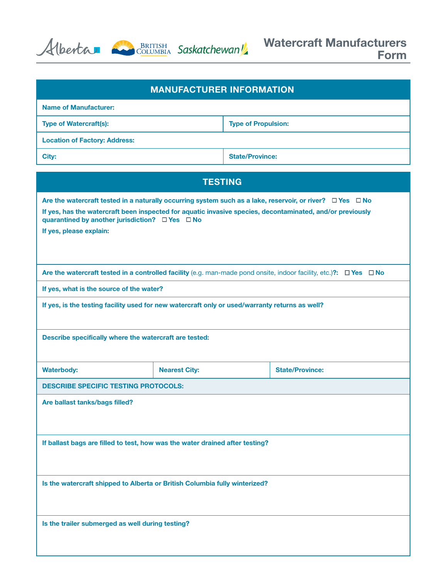Alberta BRITISH Saskatchewan



| <b>MANUFACTURER INFORMATION</b>                                                                                                                              |                            |                        |  |  |
|--------------------------------------------------------------------------------------------------------------------------------------------------------------|----------------------------|------------------------|--|--|
| <b>Name of Manufacturer:</b>                                                                                                                                 |                            |                        |  |  |
| <b>Type of Watercraft(s):</b>                                                                                                                                | <b>Type of Propulsion:</b> |                        |  |  |
| <b>Location of Factory: Address:</b>                                                                                                                         |                            |                        |  |  |
| City:                                                                                                                                                        | <b>State/Province:</b>     |                        |  |  |
| <b>TESTING</b>                                                                                                                                               |                            |                        |  |  |
| Are the watercraft tested in a naturally occurring system such as a lake, reservoir, or river? $\Box$ Yes $\Box$ No                                          |                            |                        |  |  |
| If yes, has the watercraft been inspected for aquatic invasive species, decontaminated, and/or previously<br>quarantined by another jurisdiction? □ Yes □ No |                            |                        |  |  |
| If yes, please explain:                                                                                                                                      |                            |                        |  |  |
|                                                                                                                                                              |                            |                        |  |  |
| Are the watercraft tested in a controlled facility (e.g. man-made pond onsite, indoor facility, etc.)?: $\Box$ Yes $\Box$ No                                 |                            |                        |  |  |
| If yes, what is the source of the water?                                                                                                                     |                            |                        |  |  |
| If yes, is the testing facility used for new watercraft only or used/warranty returns as well?                                                               |                            |                        |  |  |
| Describe specifically where the watercraft are tested:                                                                                                       |                            |                        |  |  |
| <b>Waterbody:</b>                                                                                                                                            | <b>Nearest City:</b>       | <b>State/Province:</b> |  |  |
| <b>DESCRIBE SPECIFIC TESTING PROTOCOLS:</b>                                                                                                                  |                            |                        |  |  |
| Are ballast tanks/bags filled?                                                                                                                               |                            |                        |  |  |
|                                                                                                                                                              |                            |                        |  |  |
| If ballast bags are filled to test, how was the water drained after testing?                                                                                 |                            |                        |  |  |
|                                                                                                                                                              |                            |                        |  |  |
| Is the watercraft shipped to Alberta or British Columbia fully winterized?                                                                                   |                            |                        |  |  |
| Is the trailer submerged as well during testing?                                                                                                             |                            |                        |  |  |
|                                                                                                                                                              |                            |                        |  |  |